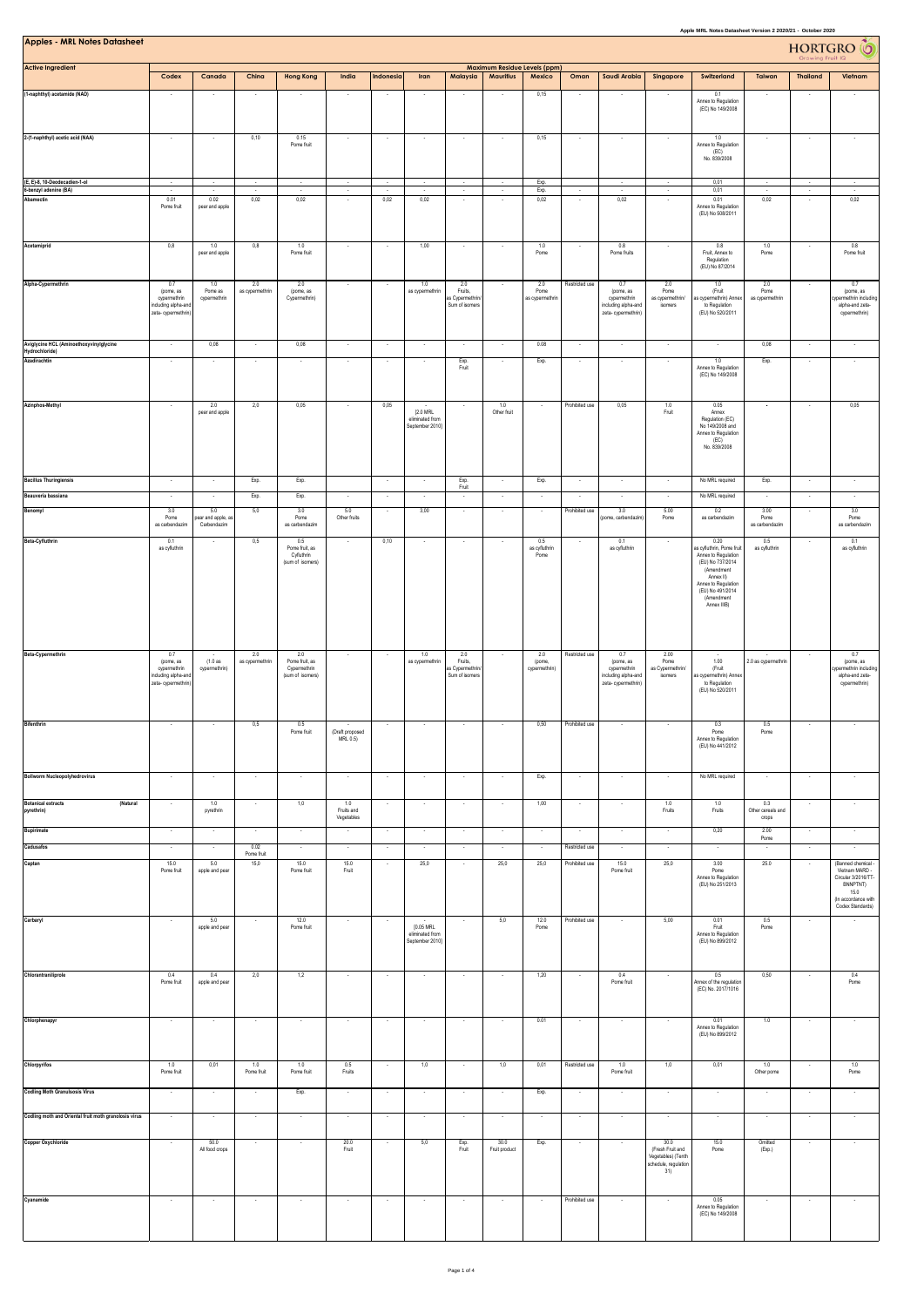| Apple MRL Notes Datasheet Version 2 2020/21 - October 2020<br><b>Apples - MRL Notes Datasheet</b><br>HORTGRO <sup>6</sup><br>Maximum Residue Levels (ppm) |                                                                              |                                |                        |                                                           |                             |                          |                                                 |                                                     |                       |                                |                |                                                                               |                                                                               |                                                                                                                                                                                 |                                                 |                          |                                                                                                                            |
|-----------------------------------------------------------------------------------------------------------------------------------------------------------|------------------------------------------------------------------------------|--------------------------------|------------------------|-----------------------------------------------------------|-----------------------------|--------------------------|-------------------------------------------------|-----------------------------------------------------|-----------------------|--------------------------------|----------------|-------------------------------------------------------------------------------|-------------------------------------------------------------------------------|---------------------------------------------------------------------------------------------------------------------------------------------------------------------------------|-------------------------------------------------|--------------------------|----------------------------------------------------------------------------------------------------------------------------|
| <b>Active Ingredient</b>                                                                                                                                  | Codex                                                                        | Canada                         | China                  | <b>Hong Kong</b>                                          | India                       | Indonesia                | Iran                                            | Malaysia                                            | Mauritius             | Mexico                         | Oman           | Saudi Arabia                                                                  | Singapore                                                                     | Switzerland                                                                                                                                                                     | Taiwan                                          | <b>Thailand</b>          | Vietnam                                                                                                                    |
| (1-naphthyl) acetamide (NAD)                                                                                                                              |                                                                              |                                |                        |                                                           |                             |                          |                                                 |                                                     |                       | 0,15                           |                |                                                                               |                                                                               | 0.1                                                                                                                                                                             |                                                 |                          |                                                                                                                            |
|                                                                                                                                                           |                                                                              |                                |                        |                                                           |                             |                          |                                                 |                                                     |                       |                                |                |                                                                               |                                                                               | Annex to Regulation<br>(EC) No 149/2008                                                                                                                                         |                                                 |                          |                                                                                                                            |
| 2-(1-naphthyl) acetic acid (NAA)                                                                                                                          | $\sim$                                                                       |                                | 0,10                   | 0.15<br>Pome fruit                                        |                             | $\cdot$                  | $\overline{\phantom{a}}$                        |                                                     |                       | 0,15                           | $\sim$         |                                                                               |                                                                               | 1.0<br>Annex to Regulation<br>(EC)<br>No. 839/2008                                                                                                                              |                                                 |                          |                                                                                                                            |
| (E, E)-8, 10-Deodecadien-1-ol                                                                                                                             | $\cdot$                                                                      | $\sim$                         | $\sim$                 | $\sim$                                                    | $\sim$                      | $\gamma$                 | $\sim$                                          | $\cdot$                                             | ٠                     | Exp.                           |                | $\sim$                                                                        | ٠                                                                             | 0,01                                                                                                                                                                            |                                                 | ٠                        |                                                                                                                            |
| 6-benzyl adenine (BA)<br>Abamectin                                                                                                                        | 0.01                                                                         | 0.02                           | 0,02                   | ÷.<br>0,02                                                | $\sim$                      | ÷<br>0,02                | $\sim$<br>0,02                                  | $\sim$                                              | ×                     | Exp.<br>0,02                   | ×              | 0,02                                                                          | ÷                                                                             | 0,01<br>0.01                                                                                                                                                                    | 0,02                                            | $\cdot$                  | 0,02                                                                                                                       |
|                                                                                                                                                           | Pome fruit                                                                   | pear and apple                 |                        |                                                           |                             |                          |                                                 |                                                     |                       |                                |                |                                                                               |                                                                               | Annex to Regulation<br>(EU) No 508/2011                                                                                                                                         |                                                 |                          |                                                                                                                            |
| Acetamiprid                                                                                                                                               | 0,8                                                                          | 1.0<br>pear and apple          | $_{0,8}$               | 1.0<br>Pome fruit                                         |                             |                          | 1,00                                            |                                                     |                       | 1.0<br>Pome                    |                | 0.8<br>Pome fruits                                                            |                                                                               | 0.8<br>Fruit, Annex to<br>Regulation<br>(EU) No 87/2014                                                                                                                         | $1.0\,$<br>Pome                                 |                          | $0.8\,$<br>Pome fruit                                                                                                      |
| Alpha-Cypermethrin                                                                                                                                        | 0.7<br>(pome, as<br>cypermethrin<br>ncluding alpha-and<br>zeta-cypermethrin) | 1.0<br>Pome as<br>cypermethrin | 2.0<br>as cypermethrin | 2.0<br>(pome, as<br>Cypermethrin)                         |                             |                          | 1.0<br>as cypermethrin                          | 2.0<br>Fruits,<br>as Cypermethrin<br>Sum of isomers |                       | 2.0<br>Pome<br>as cypermethrin | Restricted use | 0.7<br>(pome, as<br>cypermethrin<br>including alpha-and<br>zeta-cypermethrin) | 2.0<br>Pome<br>as cypermethrin/<br>isomers                                    | 1.0<br>(Fruit<br>as cypermethrin) Annex<br>to Regulation<br>(EU) No 520/2011                                                                                                    | 2.0<br>Pome<br>as cypermethrin                  |                          | 0.7<br>(pome, as<br>cypermethrin including<br>alpha-and zeta-<br>cypermethrin)                                             |
| Aviglycine HCL (Aminoethoxyvinylglycine                                                                                                                   | in a                                                                         | 0,08                           |                        | 0,08                                                      |                             | ÷.                       | $\sim$                                          |                                                     |                       | 0.08                           | $\sim$         | ÷.                                                                            | $\overline{a}$                                                                |                                                                                                                                                                                 | 0,08                                            |                          |                                                                                                                            |
| Hydrochloride)<br>Azadirachtin                                                                                                                            | $\epsilon$                                                                   | ٠.                             | ×,                     | ÷,                                                        | ÷                           | $\cdot$                  | ÷                                               | Exp.<br>Fruit                                       |                       | Exp.                           | $\epsilon$     | $\epsilon$                                                                    | $\epsilon$                                                                    | 1.0<br>Annex to Regulation<br>(EC) No 149/2008                                                                                                                                  | Exp.                                            |                          |                                                                                                                            |
| Azinphos-Methyl                                                                                                                                           |                                                                              | 2.0<br>pear and apple          | 2,0                    | 0,05                                                      |                             | 0,05                     | [2.0 MRL<br>eliminated from<br>September 2010]  |                                                     | 1.0<br>Other fruit    |                                | Prohibited use | 0,05                                                                          | 1.0<br>Fruit                                                                  | 0.05<br>Annex<br>Regulation (EC)<br>No 149/2008 and<br>Annex to Regulation<br>(EC)<br>No. 839/2008                                                                              |                                                 |                          | 0,05                                                                                                                       |
| <b>Bacillus Thuringiensis</b>                                                                                                                             |                                                                              |                                | Exp.                   | Exp.                                                      |                             |                          | $\cdot$                                         |                                                     |                       | Exp.                           |                | $\overline{\phantom{a}}$                                                      | ٠                                                                             | No MRL required                                                                                                                                                                 | Exp.                                            |                          |                                                                                                                            |
| Beauveria bassiana                                                                                                                                        | $\epsilon$                                                                   |                                | Exp.                   | Exp.                                                      |                             |                          | ÷                                               | Exp.<br>Fruit                                       |                       |                                |                |                                                                               | $\cdot$                                                                       | No MRL required                                                                                                                                                                 |                                                 |                          | $\epsilon$                                                                                                                 |
| Benomyl                                                                                                                                                   | 3.0<br>Pome                                                                  | 5.0<br>ear and apple, a        | 5,0                    | 3.0<br>Pome                                               | 5.0<br>Other fruits         | $\cdot$                  | 3,00                                            |                                                     |                       | $\sim$                         | Prohibited use | 3.0<br>ome, carbendazir                                                       | 5.00<br>Pome                                                                  | 0.2<br>as carbendazim                                                                                                                                                           | 3.00<br>Pome                                    |                          | 3.0<br>Pome                                                                                                                |
|                                                                                                                                                           | as carbendazin                                                               | Carbendazim                    |                        | as carbendazim                                            |                             |                          |                                                 |                                                     |                       |                                |                |                                                                               |                                                                               |                                                                                                                                                                                 | as carbendazin                                  |                          | as carbendazim                                                                                                             |
| Beta-Cyfluthrin                                                                                                                                           | 0.1<br>as cyfluthrin                                                         |                                | 0,5                    | 0.5<br>Pome fruit, as<br>Cyfluthrin<br>(sum of isomers)   | $\sim$                      | 0,10                     | $\sim$                                          | $\sim$                                              |                       | 0.5<br>as cyfluthrin<br>Pome   |                | 0.1<br>as cyfluthrin                                                          | $\sim$                                                                        | 0.20<br>as cyfluthrin. Pome fruit<br>Annex to Regulation<br>(EU) No 737/2014<br>(Amendment<br>Annex II)<br>Annex to Regulation<br>(EU) No 491/2014<br>(Amendment<br>Annex IIIB) | 0.5<br>as cyfluthrin                            | $\overline{\phantom{a}}$ | 0.1<br>as cyfluthrin                                                                                                       |
| Beta-Cypermethrin                                                                                                                                         | 0.7<br>(pome, as<br>cypermethrin<br>nduding alpha-and<br>zeta-cypermethrin)  | (1.0as<br>cypermethrin)        | 2.0<br>as cypermethrin | 2.0<br>Pome fruit, as<br>Cypermethrin<br>(sum of isomers) |                             |                          | 1.0<br>as cypermethrin                          | 2.0<br>Fruits,<br>as Cypermethrin<br>Sum of isomers |                       | 2.0<br>(pome,<br>cypermethrin) | Restricted use | 0.7<br>(pome, as<br>cypermethrin<br>including alpha-and<br>zeta-cypermethrin) | 2.00<br>Pome<br>as Cypermethrin/<br>isomers                                   | 1.00<br>(Fruit<br>as cypermethrin) Anne:<br>to Regulation<br>(EU) No 520/2011                                                                                                   | $\overline{\phantom{a}}$<br>2.0 as cypermethrin |                          | 0.7<br>(pome, as<br>ypermethrin includin<br>alpha-and zeta-<br>cypermethrin)                                               |
| <b>Bifenthrin</b>                                                                                                                                         |                                                                              |                                | 0.5                    | Pome fruit                                                | (Draft proposed<br>MRL 0.5) |                          |                                                 |                                                     |                       | 0,50                           | Prohibited use |                                                                               |                                                                               | Pome<br>Annex to Regulation<br>(EU) No 441/2012                                                                                                                                 | Pome                                            |                          |                                                                                                                            |
| <b>Bollworm Nucleopolyhedrovirus</b>                                                                                                                      | $\sim$                                                                       | $\sim$                         | $\sim$                 | $\sim$                                                    | $\sim$                      | $\sim$                   | $\sim$                                          | $\sim$                                              | $\sim$                | Exp.                           | $\sim$         | $\sim$                                                                        | $\cdot$                                                                       | No MRL required                                                                                                                                                                 | $\sim$                                          | $\sim$                   | $\sim$                                                                                                                     |
| <b>Botanical extracts</b><br>(Natural<br>pyrethrin)                                                                                                       | $\sim$                                                                       | 1.0<br>pyrethrin               | $\cdot$                | 1,0                                                       | 1.0<br>Fruits and           | $\cdot$                  | $\cdot$                                         | $\sim$                                              | $\sim$                | 1,00                           | $\cdot$        | $\cdot$                                                                       | 1.0<br>Fruits                                                                 | 1.0<br>Fruits                                                                                                                                                                   | 0.3<br>Other cereals and                        | $\cdot$                  | $\cdot$                                                                                                                    |
| <b>Bupirimate</b>                                                                                                                                         | $\cdot$                                                                      | $\overline{\phantom{a}}$       | ×                      | $\cdot$                                                   | Vegetables                  | $\cdot$                  | ÷,                                              |                                                     | ÷                     |                                | $\cdot$        | $\cdot$                                                                       | $\cdot$                                                                       | 0,20                                                                                                                                                                            | crops<br>2.00                                   | $\cdot$                  | $\cdot$                                                                                                                    |
| Cadusafos                                                                                                                                                 |                                                                              |                                | 0.02                   |                                                           |                             |                          | ÷.                                              |                                                     |                       |                                | Restricted use |                                                                               |                                                                               |                                                                                                                                                                                 | Pome                                            |                          |                                                                                                                            |
| Captan                                                                                                                                                    | 15.0<br>Pome fruit                                                           | 5.0<br>apple and pear          | Pome fruit<br>15,0     | 15.0<br>Pome fruit                                        | 15.0<br>Fruit               | $\cdot$                  | 25,0                                            | ÷.                                                  | 25,0                  | 25,0                           | Prohibited use | 15.0<br>Pome fruit                                                            | 25,0                                                                          | 3.00<br>Pome<br>Annex to Regulation<br>(EU) No 251/2013                                                                                                                         | 25.0                                            |                          | (Banned chemical -<br>Vietnam MARD -<br>Circular 3/2016/TT-<br>BNNPTNT)<br>15.0<br>(In accordance with<br>Codex Standards) |
| Carbaryl                                                                                                                                                  | $\cdot$                                                                      | 5.0<br>apple and pear          | $\cdot$                | 12.0<br>Pome fruit                                        | $\overline{\phantom{a}}$    | $\cdot$                  | [0.05 MRL<br>eliminated from<br>September 2010] |                                                     | 5,0                   | 12.0<br>Pome                   | Prohibited use | $\sim$                                                                        | 5,00                                                                          | 0.01<br>Fruit<br>Annex to Regulation<br>(EU) No 899/2012                                                                                                                        | 0.5<br>Pome                                     | $\cdot$                  |                                                                                                                            |
| Chlorantraniliprole                                                                                                                                       | 0.4<br>Pome fruit                                                            | 0.4<br>apple and pear          | 2,0                    | 1,2                                                       |                             |                          |                                                 |                                                     |                       | 1,20                           |                | 0.4<br>Pome fruit                                                             |                                                                               | 0.5<br>Annex of the regulation<br>(EC) No. 2017/1016                                                                                                                            | 0,50                                            |                          | 0.4<br>Pome                                                                                                                |
| Chlorphenapyr                                                                                                                                             | $\sim$                                                                       |                                | $\sim$                 | $\sim$                                                    | $\overline{\phantom{a}}$    | $\overline{\phantom{a}}$ | $\sim$                                          | $\sim$                                              |                       | 0.01                           | $\sim$         | $\sim$                                                                        |                                                                               | 0.01<br>Annex to Regulation<br>(EU) No 899/2012                                                                                                                                 | 1.0                                             | $\overline{\phantom{a}}$ | $\overline{\phantom{a}}$                                                                                                   |
| Chlorpyrifos                                                                                                                                              | 1.0<br>Pome fruit                                                            | 0,01                           | 1.0<br>Pome fruit      | 1.0<br>Pome fruit                                         | 0.5<br>Fruits               | $\cdot$                  | 1,0                                             | $\sim$                                              | 1,0                   | 0,01                           | Restricted use | 1.0<br>Pome fruit                                                             | 1,0                                                                           | 0,01                                                                                                                                                                            | 1.0<br>Other pome                               | $\overline{\phantom{a}}$ | 1.0<br>Pome                                                                                                                |
| <b>Codling Moth Granulsosis Virus</b>                                                                                                                     | $\cdot$                                                                      | $\cdot$                        | $\cdot$                | Exp.                                                      | $\cdot$                     | $\cdot$                  | $\cdot$                                         | $\sim$                                              |                       | Exp.                           | $\cdot$        | $\cdot$                                                                       | $\cdot$                                                                       | ÷,                                                                                                                                                                              |                                                 | $\cdot$                  | $\cdot$                                                                                                                    |
| Codling moth and Oriental fruit moth granolosis virus                                                                                                     |                                                                              |                                |                        |                                                           |                             |                          |                                                 |                                                     |                       |                                |                |                                                                               |                                                                               |                                                                                                                                                                                 |                                                 |                          |                                                                                                                            |
| Copper Oxychloride                                                                                                                                        | $\sim$                                                                       | 50.0<br>All food crops         | $\epsilon$             | $\lambda$                                                 | 20.0<br>Fruit               | ٠                        | 5,0                                             | Exp.<br>Fruit                                       | 30.0<br>Fruit product | Exp.                           | $\sim$         | $\overline{\phantom{a}}$                                                      | 30.0<br>(Fresh Fruit and<br>Vegetables) (Tenth<br>schedule, regulation<br>31) | 15.0<br>Pome                                                                                                                                                                    | Omitted<br>(Exp.)                               |                          | $\sim$                                                                                                                     |
| Cyanamide                                                                                                                                                 | $\sim$                                                                       | $\sim$                         | $\sim$                 | $\sim$                                                    | $\overline{\phantom{a}}$    | $\cdot$                  | $\overline{\phantom{a}}$                        |                                                     |                       |                                | Prohibited use | $\overline{\phantom{a}}$                                                      | $\overline{\phantom{a}}$                                                      | 0.05<br>Annex to Regulation<br>(EC) No 149/2008                                                                                                                                 |                                                 | $\overline{\phantom{a}}$ |                                                                                                                            |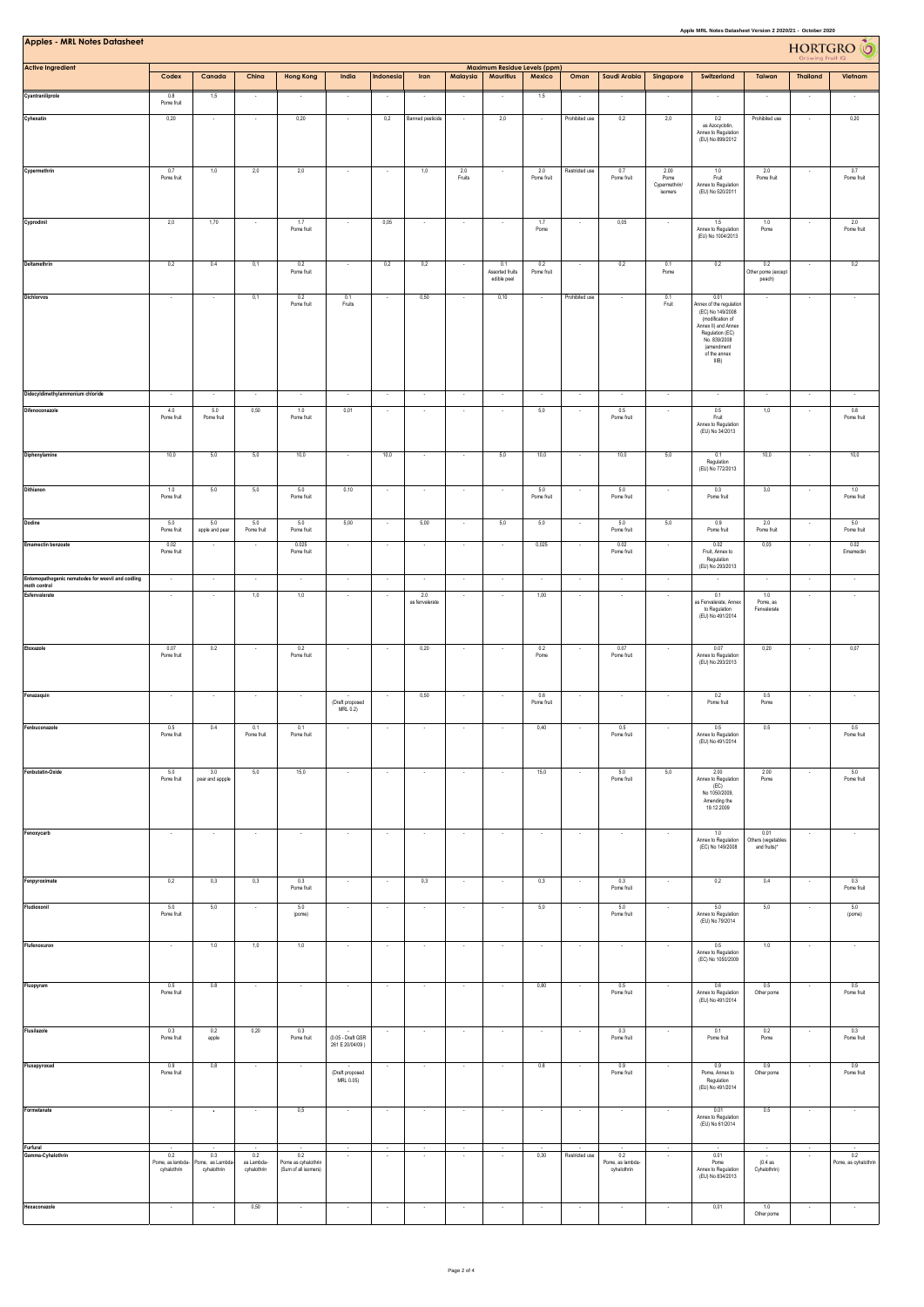| Apple MRL Notes Datasheet Version 2 2020/21 - October 2020<br><b>Apples - MRL Notes Datasheet</b> |                                                   |                                                |                                            |                                                              |                                       |                                    |                          |                          |                                       |                   |                          |                                                 |                                          |                                                                                                                                                                          | HORTGRO <sup>6</sup>                       |                                    |                                       |  |
|---------------------------------------------------------------------------------------------------|---------------------------------------------------|------------------------------------------------|--------------------------------------------|--------------------------------------------------------------|---------------------------------------|------------------------------------|--------------------------|--------------------------|---------------------------------------|-------------------|--------------------------|-------------------------------------------------|------------------------------------------|--------------------------------------------------------------------------------------------------------------------------------------------------------------------------|--------------------------------------------|------------------------------------|---------------------------------------|--|
| <b>Active Ingredient</b>                                                                          |                                                   | Canada                                         |                                            |                                                              |                                       |                                    |                          |                          | Maximum Residue Levels (ppm)          |                   |                          |                                                 |                                          |                                                                                                                                                                          |                                            |                                    |                                       |  |
| Cyantraniliprole                                                                                  | Codex<br>0.8                                      | 1,5                                            | China                                      | <b>Hong Kong</b>                                             | India                                 | Indonesia                          | Iran                     | Malaysia                 | <b>Mauritius</b>                      | Mexico<br>1.5     | Oman                     | Saudi Arabia                                    | Singapore                                | Switzerland                                                                                                                                                              | Taiwan                                     | <b>Thailand</b>                    | Vietnam                               |  |
| Cyhexatin                                                                                         | Pome fruit<br>0,20                                |                                                | $\sim$                                     | 0,20                                                         | $\sim$                                | 0,2                                | <b>Banned pesticide</b>  | ٠.                       | 2,0                                   | ۰.                | Prohibited use           | 0,2                                             | 2,0                                      | 0.2<br>as Azocyclotin,<br>Annex to Regulation<br>(EU) No 899/2012                                                                                                        | Prohibited use                             |                                    | 0,20                                  |  |
| Cypermethrin                                                                                      | 0.7<br>Pome fruit                                 | 1,0                                            | 2,0                                        | 2,0                                                          |                                       |                                    | 1,0                      | 2.0<br>Fruits            |                                       | 2.0<br>Pome fruit | Restricted use           | 0.7<br>Pome fruit                               | 2.00<br>Pome<br>Cypermethrin/<br>isomers | 1.0<br>Fruit<br>Annex to Regulation<br>(EU) No 520/2011                                                                                                                  | 2.0<br>Pome fruit                          |                                    | 0.7<br>Pome fruit                     |  |
| Cyprodinil                                                                                        | 2,0                                               | 1,70                                           |                                            | 1.7<br>Pome fruit                                            |                                       | 0,05                               |                          |                          |                                       | 1.7<br>Pome       |                          | 0,05                                            |                                          | 1.5<br>Annex to Regulation<br>(EU) No 1004/2013                                                                                                                          | 1.0<br>Pome                                |                                    | 2.0<br>Pome fruit                     |  |
| Deltamethrin                                                                                      | 0,2                                               | 0.4                                            | 0,1                                        | 0.2<br>Pome fruit                                            |                                       | 0,2                                | 0,2                      |                          | 0.1<br>Assorted fruits<br>edible peel | 0.2<br>Pome fruit |                          | 0,2                                             | 0.1<br>Pome                              | 0,2                                                                                                                                                                      | 0.2<br>Other pome (except<br>peach)        |                                    | 0,2                                   |  |
| Dichlorvos                                                                                        |                                                   |                                                | 0,1                                        | 0.2<br>Pome fruit                                            | 0.1<br>Fruits                         |                                    | 0,50                     |                          | 0,10                                  |                   | Prohibited use           |                                                 | 0.1<br>Fruit                             | 0.01<br>Annex of the regulation<br>(EC) No 149/2008<br>(modification of<br>Annex II) and Annex<br>Regulation (EC)<br>No. 839/2008<br>(amendment<br>of the annex<br>IIIB) |                                            |                                    |                                       |  |
| Didecyldimethylammonium chloride                                                                  |                                                   |                                                |                                            |                                                              |                                       |                                    |                          |                          |                                       |                   |                          |                                                 |                                          |                                                                                                                                                                          |                                            |                                    |                                       |  |
| Difenoconazole                                                                                    | 4.0<br>Pome fruit                                 | 5.0<br>Pome fruit                              | 0,50                                       | 1.0<br>Pome fruit                                            | 0,01                                  |                                    |                          |                          |                                       | 5,0               |                          | 0.5<br>Pome fruit                               |                                          | 0.5<br>Fruit<br>Annex to Regulation<br>(EU) No 34/2013                                                                                                                   | 1,0                                        |                                    | 0.8<br>Pome fruit                     |  |
| Diphenylamine                                                                                     | 10,0                                              | 5,0                                            | 5,0                                        | 10,0                                                         |                                       | 10,0                               |                          |                          | 5,0                                   | 10,0              |                          | 10,0                                            | 5,0                                      | 0.1<br>Regulation<br>(EU) No 772/2013                                                                                                                                    | 10,0                                       |                                    | 10,0                                  |  |
| Dithianon                                                                                         | 1.0<br>Pome fruit                                 | 5.0                                            | 5,0                                        | 5.0<br>Pome fruit                                            | 0,10                                  |                                    |                          |                          |                                       | 5.0<br>Pome fruit |                          | 5.0<br>Pome fruit                               |                                          | 0.3<br>Pome fruit                                                                                                                                                        | 3,0                                        |                                    | $1.0\,$<br>Pome fruit                 |  |
| Dodine                                                                                            | 5.0<br>Pome fruit                                 | 5.0<br>apple and pear                          | 5.0<br>Pome fruit                          | 5.0<br>Pome fruit                                            | 5,00                                  | $\overline{\phantom{a}}$           | 5,00                     | $\overline{\phantom{a}}$ | 5,0                                   | 5,0               |                          | 5.0<br>Pome fruit                               | 5,0                                      | 0.9<br>Pome fruit                                                                                                                                                        | 2.0<br>Pome fruit                          | $\sim$                             | 5.0<br>Pome fruit                     |  |
| <b>Emamectin benzoate</b>                                                                         | 0.02<br>Pome fruit                                | $\sim$                                         | $\overline{\phantom{a}}$                   | 0.025<br>Pome fruit                                          | $\cdot$                               | $\overline{\phantom{a}}$           | $\sim$                   | $\sim$                   | $\sim$                                | 0,025             |                          | 0.02<br>Pome fruit                              | $\cdot$                                  | 0.02<br>Fruit, Annex to<br>Regulation<br>(EU) No 293/2013                                                                                                                | 0,03                                       | $\cdot$                            | 0.02<br>Emamectin                     |  |
| Entomopathogenic nematodes for weevil and codling<br>moth control<br>Esfenvalerate                | $\sim$<br>$\overline{\phantom{a}}$                | $\sim$                                         | ÷,<br>1,0                                  | $\sim$<br>1,0                                                | $\cdot$                               | $\sim$                             | $\epsilon$<br>2.0        | ÷.                       | ÷,                                    | $\cdot$<br>1,00   | $\sim$                   | $\cdot$<br>$\overline{\phantom{a}}$             | $\cdot$<br>$\overline{\phantom{a}}$      | 0.1                                                                                                                                                                      | 1.0                                        | $\sim$                             | $\cdot$<br>$\cdot$                    |  |
|                                                                                                   |                                                   |                                                |                                            |                                                              |                                       |                                    | as fenvalerate           |                          |                                       |                   |                          |                                                 |                                          | as Fenvalerate, Annex<br>to Regulation<br>(EU) No 491/2014                                                                                                               | Pome, as<br>Fenvalerate                    |                                    |                                       |  |
| Etoxazole                                                                                         | 0.07<br>Pome fruit                                | 0.2                                            |                                            | 0.2<br>Pome fruit                                            | $\overline{\phantom{a}}$              |                                    | 0,20                     |                          |                                       | 0.2<br>Pome       |                          | 0.07<br>Pome fruit                              |                                          | 0.07<br>Annex to Regulation<br>(EU) No 293/2013                                                                                                                          | 0,20                                       |                                    | 0,07                                  |  |
| Fenazaquin                                                                                        | $\sim$                                            | $\overline{\phantom{a}}$                       | $\cdot$                                    | $\sim$                                                       | (Draft proposed<br>MRL 0.2)           |                                    | 0,50                     |                          |                                       | 0.6<br>Pome fruit |                          | $\cdot$                                         |                                          | 0.2<br>Pome fruit                                                                                                                                                        | 0.5<br>Pome                                | $\sim$                             | $\cdot$                               |  |
| Fenbuconazole                                                                                     | $0.5\,$<br>Pome fruit                             | 0.4                                            | 0.1<br>Pome fruit                          | 0.1<br>Pome fruit                                            |                                       |                                    |                          |                          |                                       | 0,40              |                          | 0.5<br>Pome fruit                               | $\cdot$                                  | $0.5\,$<br>Annex to Regulation<br>(EU) No 491/2014                                                                                                                       | $0.5\,$                                    |                                    | 0.5<br>Pome fruit                     |  |
| Fenbutatin-Oxide                                                                                  | 5.0<br>Pome fruit                                 | 3.0<br>pear and appple                         | 5,0                                        | 15,0                                                         | $\cdot$                               | $\overline{\phantom{a}}$           | $\sim$                   | $\overline{\phantom{a}}$ |                                       | 15,0              | $\overline{\phantom{a}}$ | 5.0<br>Pome fruit                               | 5,0                                      | 2.00<br>Annex to Regulation<br>(EC)<br>No 1050/2009,<br>Amending the<br>19.12.2009                                                                                       | 2.00<br>Pome                               | $\cdot$                            | 5.0<br>Pome fruit                     |  |
| Fenoxycarb                                                                                        | $\cdot$                                           | $\sim$                                         | ٠                                          | $\cdot$                                                      | $\cdot$                               | $\cdot$                            | $\sim$                   | $\overline{\phantom{a}}$ |                                       | $\cdot$           | $\cdot$                  | ٠                                               | $\cdot$                                  | 1.0<br>Annex to Regulation<br>(EC) No 149/2008                                                                                                                           | 0.01<br>Others (vegetables<br>and fruits)* | $\cdot$                            | ٠                                     |  |
| Fenpyroximate                                                                                     | 0,2                                               | 0,3                                            | 0,3                                        | 0.3<br>Pome fruit                                            | $\sim$                                | $\sim$                             | 0,3                      | $\sim$                   | $\sim$                                | 0,3               | $\sim$                   | 0.3<br>Pome fruit                               | $\cdot$                                  | 0,2                                                                                                                                                                      | 0,4                                        | $\cdot$                            | 0.3<br>Pome fruit                     |  |
| Fludioxonil                                                                                       | 5.0<br>Pome fruit                                 | 5,0                                            |                                            | 5.0<br>(pome)                                                |                                       |                                    |                          |                          |                                       | 5,0               |                          | 5.0<br>Pome fruit                               |                                          | 5.0<br>Annex to Regulation<br>(EU) No 79/2014                                                                                                                            | 5,0                                        |                                    | 5.0<br>(pome)                         |  |
| Flufenoxuron                                                                                      | $\sim$                                            | 1.0                                            | 1,0                                        | 1,0                                                          | $\sim$                                | $\sim$                             | $\sim$                   | $\sim$                   | $\sim$                                | $\sim$            | $\sim$                   | $\sim$                                          | $\sim$                                   | 0.5<br>Annex to Regulation<br>(EC) No 1050/2009                                                                                                                          | 1.0                                        | $\sim$                             | $\sim$                                |  |
| Fluopyram                                                                                         | 0.5<br>Pome fruit                                 | 0.8                                            | $\cdot$                                    | $\overline{\phantom{a}}$                                     | ×                                     |                                    |                          |                          |                                       | 0,80              |                          | 0.5<br>Pome fruit                               |                                          | 0.6<br>Annex to Regulation<br>(EU) No 491/2014                                                                                                                           | 0.5<br>Other pome                          |                                    | 0.5<br>Pome fruit                     |  |
| Flusilazole                                                                                       | 0.3<br>Pome fruit                                 | 0.2<br>apple                                   | 0,20                                       | 0.3<br>Pome fruit                                            | (0.05 - Draft GSR<br>261 E 20/04/09 ) | $\cdot$                            | $\sim$                   | $\sim$                   | $\sim$                                | $\cdot$           | $\sim$                   | 0.3<br>Pome fruit                               | $\cdot$                                  | 0.1<br>Pome fruit                                                                                                                                                        | 0.2<br>Pome                                | $\cdot$                            | 0.3<br>Pome fruit                     |  |
| Fluxapyroxad                                                                                      | 0.9<br>Pome fruit                                 | 0,8                                            | $\cdot$                                    | $\sim$                                                       | (Draft proposed<br>MRL 0.05)          |                                    | $\overline{\phantom{a}}$ | $\overline{\phantom{a}}$ | $\overline{\phantom{a}}$              | 0.8               |                          | 0.9<br>Pome fruit                               | $\overline{\phantom{a}}$                 | 0.9<br>Pome, Annex to<br>Regulation<br>(EU) No 491/2014                                                                                                                  | 0.9<br>Other pome                          |                                    | 0.9<br>Pome fruit                     |  |
| Formetanate                                                                                       | $\sim$                                            | $\sim$                                         | $\sim$                                     | 0,5                                                          | $\sim$                                | $\sim$                             | $\sim$                   | $\sim$                   | $\sim$                                | $\sim$            | $\sim$                   | $\sim$                                          | $\sim$                                   | 0.01<br>Annex to Regulation<br>(EU) No 61/2014                                                                                                                           | 0.5                                        | $\sim$                             | $\sim$                                |  |
| Furfural<br>Gamma-Cyhalothrin                                                                     | $\cdot$<br>0.2<br>Pome, as lambda-<br>cyhalothrin | $\sim$<br>0.3<br>Pome, as Lambd<br>cyhalothrin | $\sim$<br>0.2<br>as Lambda-<br>cyhalothrin | $\sim$<br>0.2<br>Pome as cyhalothrin<br>(Sum of all isomers) | $\sim$<br>$\sim$                      | $\sim$<br>$\overline{\phantom{a}}$ | $\sim$<br>$\sim$         | $\sim$<br>$\sim$         | $\sim$<br>$\sim$                      | $\sim$<br>0,30    | $\sim$<br>Restricted use | $\sim$<br>0.2<br>Pome, as lambda<br>cyhalothrin | $\sim$<br>$\overline{\phantom{a}}$       | 0.01<br>Pome<br>Annex to Regulation<br>(EU) No 834/2013                                                                                                                  | (0.4as<br>Cyhalothrin)                     | $\sim$<br>$\overline{\phantom{a}}$ | $\sim$<br>0.2<br>Pome, as cyhalothrin |  |
| Hexaconazole                                                                                      | $\sim$                                            | $\cdot$                                        | 0,50                                       | $\sim$                                                       | $\sim$                                | $\cdot$                            | $\cdot$                  | $\sim$                   | $\cdot$                               | $\cdot$           | $\cdot$                  | $\sim$                                          | $\cdot$                                  | 0,01                                                                                                                                                                     | 1.0<br>Other pome                          | $\cdot$                            | $\sim$                                |  |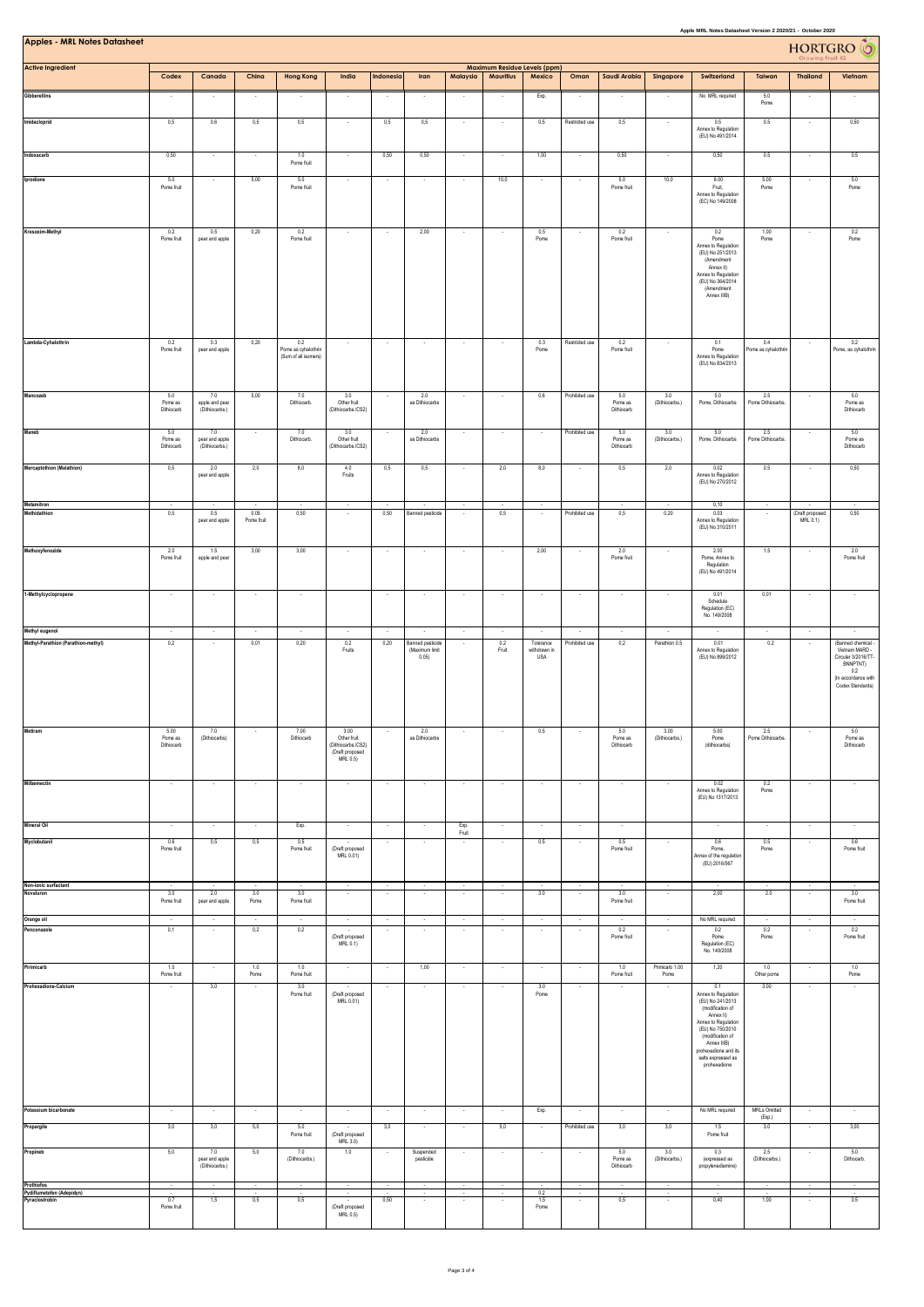| <b>Apples - MRL Notes Datasheet</b>                       | Apple MRL Notes Datasheet Version 2 2020/21 - October 2020<br><b>HORTGRO</b><br>Maximum Residue Levels (ppm) |                                         |                          |                                 |                                                                          |                                     |                                                    |                          |                   |                                         |                                    |                              |                          |                                                                                                                                                                                                                             | $\bullet$                       |                             |                                                                                                                         |
|-----------------------------------------------------------|--------------------------------------------------------------------------------------------------------------|-----------------------------------------|--------------------------|---------------------------------|--------------------------------------------------------------------------|-------------------------------------|----------------------------------------------------|--------------------------|-------------------|-----------------------------------------|------------------------------------|------------------------------|--------------------------|-----------------------------------------------------------------------------------------------------------------------------------------------------------------------------------------------------------------------------|---------------------------------|-----------------------------|-------------------------------------------------------------------------------------------------------------------------|
| <b>Active Ingredient</b>                                  | Codex                                                                                                        | Canada                                  | China                    | <b>Hong Kong</b>                | India                                                                    | Indonesia                           | Iran                                               | Malaysia                 | <b>Mauritius</b>  | Mexico                                  | Oman                               | Saudi Arabia                 | Singapore                | Switzerland                                                                                                                                                                                                                 | Taiwan                          | <b>Thailand</b>             | Vietnam                                                                                                                 |
| Gibberellins                                              |                                                                                                              | $\overline{\phantom{a}}$                | $\overline{\phantom{a}}$ | $\sim$                          | $\sim$                                                                   | . .                                 | $\cdot$                                            | ٠                        |                   | Exp.                                    | $\cdot$                            |                              | ٠                        | No MRL required                                                                                                                                                                                                             | 5.0<br>Pome                     |                             | $\overline{\phantom{a}}$                                                                                                |
| Imidacloprid                                              | 0,5                                                                                                          | 0,6                                     | 0,5                      | 0,5                             | $\sim$                                                                   | 0,5                                 | 0,5                                                | ٠                        | ٠.                | 0,5                                     | Restricted use                     | 0,5                          | $\sim$                   | 0.5<br>Annex to Regulation<br>(EU) No 491/2014                                                                                                                                                                              | 0.5                             | $\cdot$                     | 0,50                                                                                                                    |
| Indoxacarb                                                | 0,50                                                                                                         | ×                                       |                          | 1.0<br>Pome fruit               | $\cdot$                                                                  | 0,50                                | 0,50                                               | ÷                        |                   | 1,00                                    | ×                                  | 0,50                         | $\ddot{\phantom{0}}$     | 0,50                                                                                                                                                                                                                        | 0.5                             |                             | 0.5                                                                                                                     |
| Iprodione                                                 | 5.0<br>Pome fruit                                                                                            | $\sim$                                  | 5,00                     | 5.0<br>Pome fruit               | $\sim$                                                                   | $\overline{\phantom{a}}$            | $\sim$                                             | $\sim$                   | 10,0              | $\sim$                                  | $\overline{\phantom{a}}$           | 5.0<br>Pome fruit            | 10,0                     | 6.00<br>Fruit.<br>Annex to Regulation<br>(EC) No 149/2008                                                                                                                                                                   | 5.00<br>Pome                    | $\sim$                      | 5.0<br>Pome                                                                                                             |
| Kresoxim-Methyl                                           | 0.2<br>Pome fruit                                                                                            | 0.5<br>pear and apple                   | 0,20                     | 0.2<br>Pome fruit               | $\sim$                                                                   | $\sim$                              | 2,00                                               | $\sim$                   | J.                | 0.5<br>Pome                             | ×                                  | 0.2<br>Pome fruit            | $\sim$                   | 0.2<br>Pome<br>Annex to Regulation<br>(EU) No 251/2013<br>(Amendment<br>Annex II)<br>Annex to Regulation<br>(EU) No 364/2014<br>(Amendment<br>Annex IIIB)                                                                   | 1.00<br>Pome                    | $\sim$                      | 0.2<br>Pome                                                                                                             |
| Lambda-Cyhalothrin                                        | 0.2<br>Pome fruit                                                                                            | 0.3<br>pear and apple                   | 0,20                     | 0.2<br>Pome as cyhalothrin      | $\cdot$                                                                  | $\cdot$                             | $\cdot$                                            |                          |                   | 0.3<br>Pome                             | Restricted use                     | 0.2<br>Pome fruit            |                          | 0.1<br>Pome                                                                                                                                                                                                                 | 0.4<br>ome as cyhalothrii       |                             | 0.2<br>Pome, as cyhalothrin                                                                                             |
|                                                           |                                                                                                              |                                         |                          | (Sum of all isomers)            |                                                                          |                                     |                                                    |                          |                   |                                         |                                    |                              |                          | Annex to Regulation<br>(EU) No 834/2013                                                                                                                                                                                     |                                 |                             |                                                                                                                         |
| Mancozeb                                                  | 5.0<br>Pome as<br>Diffiocarb                                                                                 | 7.0<br>apple and pear<br>(Dithiocarbs.) | 5,00                     | 7.0<br>Dithiocarb.              | 3.0<br>Other fruit<br>(Dithiocarbs./CS2)                                 |                                     | 2.0<br>as Dithiocarbs                              |                          |                   | $_{0,6}$                                | Prohibited use                     | 5.0<br>Pome as<br>Dithiocarb | 3.0<br>(Dithiocarbs.)    | $5.0\,$<br>Pome, Dithiocarbs                                                                                                                                                                                                | $2.5\,$<br>Pome Dithiocarbs     |                             | 5.0<br>Pome as<br>Dithiocarb                                                                                            |
| Maneb                                                     | 5.0<br>Pome as<br>Diffiocarb                                                                                 | 7.0<br>pear and apple<br>(Dithiocarbs.) |                          | 7.0<br>Dithiocarb.              | 3.0<br>Other fruit<br>(Dithiocarbs./CS2)                                 |                                     | 2.0<br>as Dithiocarbs                              |                          |                   | - 1                                     | Prohibited use                     | 5.0<br>Pome as<br>Dithiocarb | 3.0<br>(Dithiocarbs.)    | 5.0<br>Pome, Dithiocarbs                                                                                                                                                                                                    | 2.5<br>Pome Dithiocarbs         |                             | 5.0<br>Pome as<br>Dithiocarb                                                                                            |
| <b>Mercaptothion (Malathion)</b>                          | 0,5                                                                                                          | 2.0<br>pear and apple                   | 2,0                      | 8,0                             | 4.0<br>Fruits                                                            | 0,5                                 | 0,5                                                | ×,                       | 2,0               | 8,0                                     | $\cdot$                            | 0,5                          | 2,0                      | 0.02<br>Annex to Regulation<br>(EU) No 270/2012                                                                                                                                                                             | 0.5                             | $\epsilon$                  | 0,50                                                                                                                    |
| Metamitron<br><b>Methidathion</b>                         | 0,5                                                                                                          | 0.5<br>pear and apple                   | 0.05<br>Pome fruit       | 0,50                            | $\overline{\phantom{a}}$<br>$\sim$                                       | 0,50                                | <b>Banned pesticide</b>                            | $\sim$                   | 0,5               | $\sim$                                  | Prohibited use                     | 0,5                          | 0,20                     | 0,10<br>0.03<br>Annex to Regulation<br>(EU) No 310/2011                                                                                                                                                                     | $\sim$                          | (Draft proposed<br>MRL 0.1) | 0,50                                                                                                                    |
| Methoxyfenozide                                           | 2.0<br>Pome fruit                                                                                            | 1.5<br>apple and pear                   | 3,00                     | 3,00                            | $\sim$                                                                   | $\sim$                              | $\sim$                                             | $\sim$                   | $\sim$            | 2,00                                    | $\overline{\phantom{a}}$           | 2.0<br>Pome fruit            | $\sim$                   | 2.00<br>Pome, Annex to<br>Regulation<br>(EU) No 491/2014                                                                                                                                                                    | 1.5                             | $\sim$                      | 2.0<br>Pome fruit                                                                                                       |
| 1-Methylcyclopropene                                      | $\cdot$                                                                                                      | $\cdot$                                 | $\cdot$                  | $\sim$                          |                                                                          | $\cdot$                             | $\cdot$                                            | $\sim$                   | $\cdot$           | $\cdot$                                 | $\cdot$                            | $\sim$                       | $\overline{\phantom{a}}$ | 0.01<br>Schedule<br>Regulation (EC)                                                                                                                                                                                         | 0,01                            | $\sim$                      | $\cdot$                                                                                                                 |
| Methyl eugenol                                            | $\sim$                                                                                                       | ×                                       |                          | $\cdot$                         |                                                                          | ÷,                                  |                                                    | $\sim$                   |                   |                                         |                                    |                              |                          | No. 149/2008                                                                                                                                                                                                                | $\overline{\phantom{a}}$        | $\epsilon$                  | $\cdot$                                                                                                                 |
| Methyl-Parathion (Parathion-methyl)                       | 0,2                                                                                                          | ٠                                       | 0,01                     | 0,20                            | 0.2<br>Fruits                                                            | 0,20                                | <b>Banned pesticide</b><br>(Maximum limit<br>0.05) |                          | 0.2<br>Fruit      | Tolerance<br>withdrawn in<br><b>USA</b> | Prohibited use                     | 0,2                          | Parathion 0.5            | 0.01<br>Annex to Regulation<br>(EU) No 899/2012                                                                                                                                                                             | 0.2                             |                             | (Banned chemical<br>Vietnam MARD -<br>Circular 3/2016/TT-<br>BNNPTNT)<br>0.2<br>(In accordance with<br>Codex Standards) |
| Metiram                                                   | 5.00<br>Pome as<br>Difficcarb                                                                                | 7.0<br>(Dithiocarbs)                    |                          | 7.00<br>Dithiocarb              | 3.00<br>Other fruit<br>(Dithiocarbs./CS2)<br>(Draft proposed<br>MRL 0.5) |                                     | 2.0<br>as Dithiocarbs                              |                          |                   | 0.5                                     |                                    | 5.0<br>Pome as<br>Dithiocarb | 3.00<br>(Dithiocarbs.)   | 5.00<br>Pome<br>(diffiiocarbs)                                                                                                                                                                                              | 2.5<br>Pome Dithiocarbs.        |                             | 5.0<br>Pome as<br>Dithiocarb                                                                                            |
| <b>Milbemectin</b>                                        | $\sim$                                                                                                       | $\sim$                                  | $\sim$                   | $\sim$                          | $\sim$                                                                   | $\sim$                              | $\sim$                                             | $\sim$                   | $\sim$            | $\sim$                                  | $\sim$                             | $\sim$                       | $\sim$                   | 0.02<br>Annex to Regulation<br>(EU) No 1317/2013                                                                                                                                                                            | 0.2<br>Pome                     | $\sim$                      | $\sim$                                                                                                                  |
| <b>Mineral Oil</b>                                        | $\sim$<br>0.6                                                                                                | $\sim$                                  | $\sim$<br>0,5            | Exp.                            | $\sim$<br>$\sim$                                                         | $\sim$                              | $\sim$                                             | Exp.<br>Fruit            | $\sim$            | $\sim$                                  | $\sim$<br>$\sim$                   | $\cdot$<br>0.5               | $\epsilon$               | $\sim$                                                                                                                                                                                                                      | $\sim$                          | $\cdot$<br>$\sim$           | $\sim$                                                                                                                  |
| Myclobutanil                                              | Pome fruit                                                                                                   | 0,5                                     |                          | 0.5<br>Pome fruit               | (Draft proposed<br>MRL 0.01)                                             |                                     |                                                    |                          |                   | $0.5\,$                                 |                                    | Pome fruit                   |                          | 0.6<br>Pome,<br>Annex of the regulation<br>(EU) 2016/567                                                                                                                                                                    | $0.5\,$<br>Pome                 |                             | 0.6<br>Pome fruit                                                                                                       |
| Non-ionic surfactant<br>Novaluron                         | $\sim$<br>3.0<br>Pome fruit                                                                                  | $\sim$<br>2.0<br>pear and apple         | $\sim$<br>3.0<br>Pome    | $\sim$<br>3.0<br>Pome fruit     | $\sim$                                                                   | $\sim$                              | $\sim$                                             | $\sim$                   | $\sim$            | $\sim$<br>3.0                           | $\sim$                             | $\sim$<br>3.0<br>Pome fruit  | $\sim$                   | $\sim$<br>2,00                                                                                                                                                                                                              | $\overline{\phantom{a}}$<br>2.0 | $\sim$                      | $\sim$<br>3.0<br>Pome fruit                                                                                             |
| Orange oil<br>Penconazole                                 | $\sim$<br>0,1                                                                                                | $\cdot$<br>$\sim$                       | $\sim$<br>0,2            | $\sim$<br>0,2                   | $\epsilon$<br>$\cdot$<br>(Draft proposed<br>MRL 0.1)                     | $\cdot$<br>$\overline{\phantom{a}}$ | $\epsilon$<br>$\cdot$                              | $\cdot$<br>$\cdot$       | $\sim$<br>$\cdot$ | $\sim$<br>$\cdot$                       | $\epsilon$<br>$\cdot$              | 0.2<br>Pome fruit            | $\sim$<br>$\cdot$        | No MRL required<br>0.2<br>Pome<br>Regulation (EC)                                                                                                                                                                           | $\lambda$<br>0.2<br>Pome        | $\cdot$<br>$\cdot$          | $\sim$<br>0.2<br>Pome fruit                                                                                             |
| Pirimicarb                                                | 1.0                                                                                                          | $\sim$                                  | 1.0                      | 1.0                             | $\sim$                                                                   | $\overline{\phantom{a}}$            | 1,00                                               | $\sim$                   | $\sim$            | $\sim$                                  | $\cdot$                            | 1.0                          | Primicarb 1.00           | No. 149/2008<br>1,20                                                                                                                                                                                                        | 1.0                             | $\sim$                      | 1.0                                                                                                                     |
| Prohexadione-Calcium                                      | Pome fruit                                                                                                   | 3,0                                     | Pome                     | Pome fruit<br>3.0<br>Pome fruit | (Draft proposed<br>MRL 0.01)                                             |                                     |                                                    |                          |                   | 3.0<br>Pome                             |                                    | Pome fruit                   | Pome                     | 0.1<br>Annex to Regulation<br>(EU) No 241/2013<br>(modification of<br>Annex II)<br>Annex to Regulation<br>(EU) No 750/2010<br>(modification of<br>Annex IIIB)<br>prohexadione and its<br>salts expressed as<br>prohexadione | Other pome<br>3.00              |                             | Pome                                                                                                                    |
| Potassium bicarbonate                                     | $\sim$                                                                                                       | $\epsilon$                              | $\cdot$                  | $\sim$                          | $\cdot$                                                                  | $\cdot$                             | $\sim$                                             | $\sim$                   | $\sim$            | Exp.                                    | $\cdot$                            | $\sim$                       | $\sim$                   | No MRL required                                                                                                                                                                                                             | MRLs Omitted                    | $\cdot$                     | $\sim$                                                                                                                  |
| Propargite                                                | 3,0                                                                                                          | 3,0                                     | 5,0                      | 5.0<br>Pome fruit               | ٠<br>(Draft proposed                                                     | 3,0                                 | $\bullet$                                          | $\overline{\phantom{a}}$ | 5,0               | $\overline{\phantom{a}}$                | Prohibited use                     | 3,0                          | 3,0                      | 1.5<br>Pome fruit                                                                                                                                                                                                           | (Exp.)<br>3.0                   | $\ddot{\phantom{1}}$        | 3,00                                                                                                                    |
| Propineb                                                  | 5,0                                                                                                          | 7.0<br>pear and apple<br>(Dithiocarbs.) | 5,0                      | 7.0<br>(Dithiocarbs.)           | MRL 3.0)<br>1,0                                                          |                                     | Suspended<br>pesticide                             | $\cdot$                  | $\sim$            | $\cdot$                                 | $\sim$                             | 5.0<br>Pome as<br>Dithiocarb | 3.0<br>(Dithiocarbs.)    | 0.3<br>(expressed as<br>propylenediamine)                                                                                                                                                                                   | 2.5<br>(Dithiocarbs.)           | $\sim$                      | 5.0<br>Dithocarb.                                                                                                       |
| Prothiofos<br>Pydiflumetofen (Adepidyn)<br>Pyraclostrobin | 0.7<br>Pome fruit                                                                                            | $\overline{\phantom{a}}$<br>1,5         | 0,5                      | $\sim$<br>$\sim$<br>0,5         | $\sim$<br>$\sim$<br>(Draft proposed<br>MRL 0.5)                          | 0,50                                | ٠<br>$\sim$                                        | $\sim$<br>$\sim$         |                   | 0.2<br>1.5<br>Pome                      | $\overline{\phantom{a}}$<br>$\sim$ | 0,5                          | $\cdot$<br>$\sim$        | 0,40                                                                                                                                                                                                                        | 1,00                            | $\cdot$<br>$\sim$           | $\sim$<br>$\sim$<br>0.5                                                                                                 |